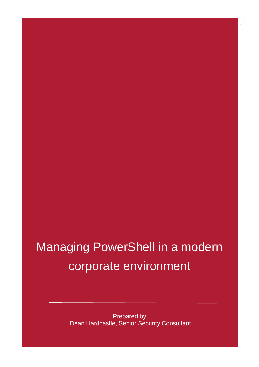## Managing PowerShell in a modern corporate environment

Prepared by: Dean Hardcastle, Senior Security Consultant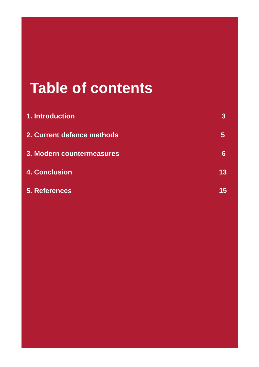## **Table of contents**

| <b>1. Introduction</b>     | 3  |
|----------------------------|----|
| 2. Current defence methods | 5  |
| 3. Modern countermeasures  | 6  |
| <b>4. Conclusion</b>       | 13 |
| <b>5. References</b>       | 15 |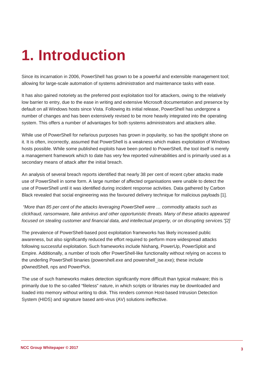## <span id="page-2-0"></span>**1. Introduction**

Since its incarnation in 2006, PowerShell has grown to be a powerful and extensible management tool; allowing for large-scale automation of systems administration and maintenance tasks with ease.

It has also gained notoriety as the preferred post exploitation tool for attackers, owing to the relatively low barrier to entry, due to the ease in writing and extensive Microsoft documentation and presence by default on all Windows hosts since Vista. Following its initial release, PowerShell has undergone a number of changes and has been extensively revised to be more heavily integrated into the operating system. This offers a number of advantages for both systems administrators and attackers alike.

While use of PowerShell for nefarious purposes has grown in popularity, so has the spotlight shone on it. It is often, incorrectly, assumed that PowerShell is a weakness which makes exploitation of Windows hosts possible. While some published exploits have been ported to PowerShell, the tool itself is merely a management framework which to date has very few reported vulnerabilities and is primarily used as a secondary means of attack after the initial breach.

An analysis of several breach reports identified that nearly 38 per cent of recent cyber attacks made use of PowerShell in some form. A large number of affected organisations were unable to detect the use of PowerShell until it was identified during incident response activities. Data gathered by Carbon Black revealed that social engineering was the favoured delivery technique for malicious payloads [1].

*"More than 85 per cent of the attacks leveraging PowerShell were … commodity attacks such as clickfraud, ransomware, fake antivirus and other opportunistic threats. Many of these attacks appeared focused on stealing customer and financial data, and intellectual property, or on disrupting services."[2]*

The prevalence of PowerShell-based post exploitation frameworks has likely increased public awareness, but also significantly reduced the effort required to perform more widespread attacks following successful exploitation. Such frameworks include Nishang, PowerUp, PowerSploit and Empire. Additionally, a number of tools offer PowerShell-like functionality without relying on access to the underling PowerShell binaries (powershell.exe and powershell ise.exe); these include p0wnedShell, nps and PowerPick.

The use of such frameworks makes detection significantly more difficult than typical malware; this is primarily due to the so-called "fileless" nature, in which scripts or libraries may be downloaded and loaded into memory without writing to disk. This renders common Host-based Intrusion Detection System (HIDS) and signature based anti-virus (AV) solutions ineffective.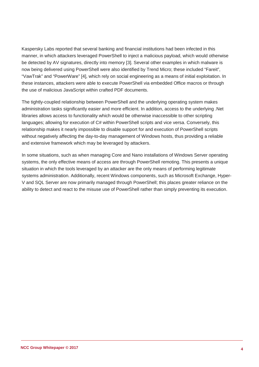Kaspersky Labs reported that several banking and financial institutions had been infected in this manner, in which attackers leveraged PowerShell to inject a malicious payload, which would otherwise be detected by AV signatures, directly into memory [3]. Several other examples in which malware is now being delivered using PowerShell were also identified by Trend Micro; these included "Fareit", "VawTrak" and "PowerWare" [4], which rely on social engineering as a means of initial exploitation. In these instances, attackers were able to execute PowerShell via embedded Office macros or through the use of malicious JavaScript within crafted PDF documents.

The tightly-coupled relationship between PowerShell and the underlying operating system makes administration tasks significantly easier and more efficient. In addition, access to the underlying .Net libraries allows access to functionality which would be otherwise inaccessible to other scripting languages; allowing for execution of C# within PowerShell scripts and vice versa. Conversely, this relationship makes it nearly impossible to disable support for and execution of PowerShell scripts without negatively affecting the day-to-day management of Windows hosts, thus providing a reliable and extensive framework which may be leveraged by attackers.

In some situations, such as when managing Core and Nano installations of Windows Server operating systems, the only effective means of access are through PowerShell remoting. This presents a unique situation in which the tools leveraged by an attacker are the only means of performing legitimate systems administration. Additionally, recent Windows components, such as Microsoft Exchange, Hyper-V and SQL Server are now primarily managed through PowerShell; this places greater reliance on the ability to detect and react to the misuse use of PowerShell rather than simply preventing its execution.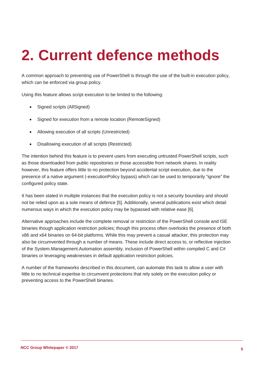## <span id="page-4-0"></span>**2. Current defence methods**

A common approach to preventing use of PowerShell is through the use of the built-in execution policy, which can be enforced via group policy.

Using this feature allows script execution to be limited to the following:

- Signed scripts (AllSigned)
- Signed for execution from a remote location (RemoteSigned)
- Allowing execution of all scripts (Unrestricted)
- Disallowing execution of all scripts (Restricted)

The intention behind this feature is to prevent users from executing untrusted PowerShell scripts, such as those downloaded from public repositories or those accessible from network shares. In reality however, this feature offers little to no protection beyond accidental script execution, due to the presence of a native argument (-executionPolicy bypass) which can be used to temporarily "ignore" the configured policy state.

It has been stated in multiple instances that the execution policy is not a security boundary and should not be relied upon as a sole means of defence [5]. Additionally, several publications exist which detail numerous ways in which the execution policy may be bypassed with relative ease [6].

Alternative approaches include the complete removal or restriction of the PowerShell console and ISE binaries though application restriction policies; though this process often overlooks the presence of both x86 and x64 binaries on 64-bit platforms. While this may prevent a casual attacker, this protection may also be circumvented through a number of means. These include direct access to, or reflective injection of the System.Management.Automation assembly, inclusion of PowerShell within compiled C and C# binaries or leveraging weaknesses in default application restriction policies.

A number of the frameworks described in this document, can automate this task to allow a user with little to no technical expertise to circumvent protections that rely solely on the execution policy or preventing access to the PowerShell binaries.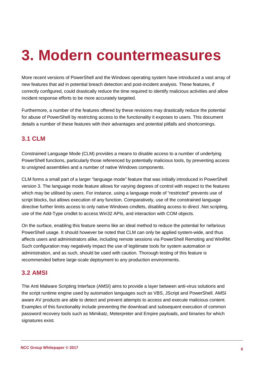## <span id="page-5-0"></span>**3. Modern countermeasures**

More recent versions of PowerShell and the Windows operating system have introduced a vast array of new features that aid in potential breach detection and post-incident analysis. These features, if correctly configured, could drastically reduce the time required to identify malicious activities and allow incident response efforts to be more accurately targeted.

Furthermore, a number of the features offered by these revisions may drastically reduce the potential for abuse of PowerShell by restricting access to the functionality it exposes to users. This document details a number of these features with their advantages and potential pitfalls and shortcomings.

### **3.1 CLM**

Constrained Language Mode (CLM) provides a means to disable access to a number of underlying PowerShell functions, particularly those referenced by potentially malicious tools, by preventing access to unsigned assemblies and a number of native Windows components.

CLM forms a small part of a larger "language mode" feature that was initially introduced in PowerShell version 3. The language mode feature allows for varying degrees of control with respect to the features which may be utilised by users. For instance, using a language mode of "restricted" prevents use of script blocks, but allows execution of any function. Comparatively, use of the constrained language directive further limits access to only native Windows cmdlets, disabling access to direct .Net scripting, use of the Add-Type cmdlet to access Win32 APIs, and interaction with COM objects.

On the surface, enabling this feature seems like an ideal method to reduce the potential for nefarious PowerShell usage. It should however be noted that CLM can only be applied system-wide, and thus affects users and administrators alike, including remote sessions via PowerShell Remoting and WinRM. Such configuration may negatively impact the use of legitimate tools for system automation or administration, and as such, should be used with caution. Thorough testing of this feature is recommended before large-scale deployment to any production environments.

### **3.2 AMSI**

The Anti Malware Scripting Interface (AMSI) aims to provide a layer between anti-virus solutions and the script runtime engine used by automation languages such as VBS, JScript and PowerShell. AMSI aware AV products are able to detect and prevent attempts to access and execute malicious content. Examples of this functionality include preventing the download and subsequent execution of common password recovery tools such as Mimikatz, Meterpreter and Empire payloads, and binaries for which signatures exist.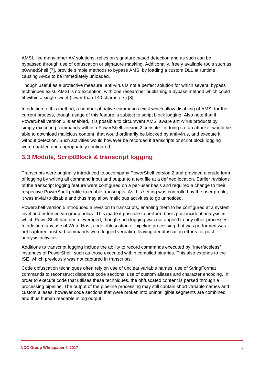AMSI, like many other AV solutions, relies on signature based detection and as such can be bypassed through use of obfuscation or signature masking. Additionally, freely available tools such as p0wnedShell [7], provide simple methods to bypass AMSI by loading a custom DLL at runtime, causing AMSI to be immediately unloaded.

Though useful as a protective measure, anti-virus is not a perfect solution for which several bypass techniques exist. AMSI is no exception, with one researcher publishing a bypass method which could fit within a single tweet (fewer than 140 characters) [8].

In addition to this method, a number of native commands exist which allow disabling of AMSI for the current process, though usage of this feature is subject to script block logging. Also note that if PowerShell version 2 is enabled, it is possible to circumvent AMSI aware anti-virus products by simply executing commands within a PowerShell version 2 console. In doing so, an attacker would be able to download malicious content, that would ordinarily be blocked by anti-virus, and execute it without detection. Such activities would however be recorded if transcripts or script block logging were enabled and appropriately configured.

### **3.3 Module, ScriptBlock & transcript logging**

Transcripts were originally introduced to accompany PowerShell version 2 and provided a crude form of logging by writing all command input and output to a text file at a defined location. Earlier revisions of the transcript logging feature were configured on a per-user basis and required a change to their respective PowerShell profile to enable transcripts. As this setting was controlled by the user profile, it was trivial to disable and thus may allow malicious activities to go unnoticed.

PowerShell version 5 introduced a revision to transcripts, enabling them to be configured at a system level and enforced via group policy. This made it possible to perform basic post incident analysis in which PowerShell had been leveraged, though such logging was not applied to any other processes. In addition, any use of Write-Host, code obfuscation or pipeline processing that was performed was not captured, instead commands were logged verbatim, leaving deobfuscation efforts for post analysis activities.

Additions to transcript logging include the ability to record commands executed by "interfaceless" instances of PowerShell, such as those executed within compiled binaries. This also extends to the ISE, which previously was not captured in transcripts.

Code obfuscation techniques often rely on use of unclear variable names, use of StringFormat commands to reconstruct disparate code sections, use of custom aliases and character encoding. In order to execute code that utilises these techniques, the obfuscated content is parsed through a processing pipeline. The output of the pipeline processing may still contain short variable names and custom aliases, however code sections that were broken into unintelligible segments are combined and thus human readable in log output.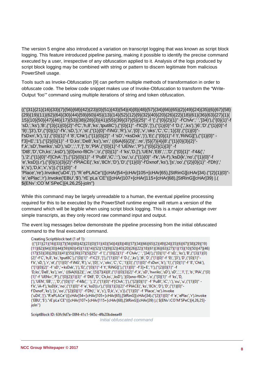The version 5 engine also introduced a variation on transcript logging that was known as script block logging. This feature introduced pipeline parsing, making it possible to identify the precise command executed by a user, irrespective of any obfuscation applied to it. Analysis of the logs produced by script block logging may be combined with string or pattern to discern legitimate from malicious PowerShell usage.

Tools such as Invoke-Obfuscation [9] can perform multiple methods of transformation in order to obfuscate code. The below code snippet makes use of Invoke-Obfuscation to transform the "Write-Output 'foo'" command using multiple iterations of string and token obfuscation.

(("{31}{21}{16}{33}{7}{56}{68}{42}{23}{0}{51}{43}{54}{4}{8}{48}{57}{34}{66}{65}{2}{49}{24}{35}{6}{67}{58} {29}{19}{11}{62}{64}{30}{44}{59}{60}{45}{13}{14}{52}{12}{9}{32}{40}{20}{26}{22}{18}{61}{36}{63}{27}{1}{ 15}{10}{50}{47}{46}{17}{53}{38}{28}{3}{41}{55}{39}{37}{5}{25}" -f '{',("{0}{2}{1}" -f'ChAr',' ',']34)'),("{0}{1}"-f 'sD,','ks'),'B',("{3}{1}{0}{2}"-f'C','h,8','ks','tput8C'),("{0}{1}" -f'IC[5',']'),("{1}{0}"-f 'D.(',',ks'),'}6','D',("{1}{0}"-f '9)',']3'),'D',("{0}{1}"-f'k','sD,'),'r','st',("{1}{0}"-f'iNG','R'),'u','{0}','v','oks','C','C','1}{3}',("{1}{0}" f'sDxn','k'),'1}',("{0}{1}"-f '8','Chk'),("{1}{0}{2}" -f 'sD','+ksDxk',')'),'E(',("{0}{1}"-f 't','RiNG]['),("{1}{0}" f'3]+E','1'),("{2}{0}{1}" -f 'D,ks','De8','ks'),'xn',' ((6iA{6}{2}{','.re','{5}{7}{4}{8',("{1}{0}{3}{2}" f',k','sD','hwriks','sD'),'sD',',','l','[','b','PlA',("{0}{1}"-f 'UENv:','P'),("{0}{2}{1}{3}" -f 'Dt8','D','Ch,ks',',ksD'),'}{0}xno-f8Ch-','o',("{0}{1}" -f 'ks','D,['),'UEN','EB',',','D',("{0}{1}" -f'4&(',' '),'2',("{1}{0}"-f'[ChA',']'),("{2}{0}{1}" -f 'PuBl','iC',':'),'ou','u',("{1}{0}" -f'k','iA-f'),'ksD{k','no',("{1}{0}"-f 'e','ksD)).r'),("{0}{1}{3}{2}"-f'PlACE(','ks','8Ch','D'),'D',("{1}{0}"-f'Dxnof','ks'),'[s','oo',("{2}{0}{1}" -f'Dh)',' k','s'),'D,k','x','s')).("{1}{0}" -f 'Place','re').Invoke('uD4','|')."R`ePLACe"(([cHAr]54+[cHAr]105+[cHAr]65),[StRinG][cHAr]34).("{2}{1}{0}"- 'e','ePlac','r').Invoke('EBU','\$')."rE`pLa`CE"(([cHAr]107+[cHAr]115+[cHAr]68),[StRinG][cHAr]39) |.( \${ENv`:CO`M`SPeC}[4,26,25]-joIn'')

While this command may be largely unreadable to a human, the eventual pipeline processing required for this to be executed by the PowerShell runtime engine will return a version of the command which will be legible when using script block logging. This is a major advantage over simple transcripts, as they only record raw command input and output.

The event log messages below demonstrate the pipeline processing from the initial obfuscated command to the final executed command.

#### Creating Scriptblock text (1 of 1):

(("{31}{21}}16}33}{7}{56}{68}{42}}23}{0}{51}{43}}54}{48}{57}}34}{66}{65}{2}{49}{24}}35}{6}{67}{58}{29}}19} {11}{62}{64}{30}{44}{59}{60}{45}{13}{14}{52}{12}{9}{32}{40}{20}{26}{22}{18}{61}{36}{63}{27}{1}{15}{10}{50}{47}{46} {17}{53}{38}{28}{3}{41}{55}{39}{37}{5}{39}{37}{5}{25}" -f '{',("{0}{2}{1}" -f'ChAr',' ',']34)'),("{0}{1}"-f 'sD,','ks'),'B',("{3}{1}{0} {2}"-f'C','h,8','ks','tput8C'),("{0}{1}"-f'lC[5',']'),("{1}{0}"-f 'D.(',',ks'),'}6','D',("{1}{0}"-f '9)',']3'),'D',("{0}{1}"f'k','sD,'),'r','st',("{1}{0}"-f'iNG','R'),'u','{0}','v','oks','C','C','1}{3}',("{1}{0}"-f'sDxn','k'),'1}',("{0}{1}"-f'8','Chk'), ("{1}(0){2}" -f 'sD','+ksDxk',')'),'E(',("{0}(1}"-f 't','RiNG]['),("{1}(0)" -f'3]+E','1'),("{2}(0){1}" -f 'D,ks','De8','ks'),'xn',' ((6iA{6}{2}{','.re','{5}{7}{4}{8',("{1}{0}{3}{2}"-f',k','sD','hwriks','sD'),'sD',','|','[','b','PIA',("{0} {1}"-f 'UENv:','P'),("{0}{2}{1}{3}" -f 'Dt8','D','Ch,ks',',ksD'),'}{0}xno-f8Ch-','o',("{0}{1}" -f 'ks','D, ['),'UEN','EB',',','D',("{0}{1}" -f'4&(',' '),'2',("{1}{0}"-f'[ChA',']'),("{2}{0}{1}" -f 'PuBI','iC',':'),'ou','u',("{1}{0}" -<br>f'k','iA-f'),'ksD{k','no',("{1}{0}"-f'e','ksD)).r'),("{0}{1}{3}{2}"-f'PIACE(','ks','8Ch','D'),' f'Dxnof','ks'),'[s','oo',("{2}{0}{1}" -f'Dh)',' k','s'),'D,k','x','s')).("{1}{0}" -f 'Place','re').Invoke ('uD4','|')."R`ePLACe"(([cHAr]54+[cHAr]105+[cHAr]65),[StRinG][cHAr]34).("{2}{1}(0}"-f 'e','ePlac','r').lnvoke ('EBU','\$')."rE`pLa`CE"(([cHAr]107+[cHAr]115+[cHAr]68),[StRinG][cHAr]39) |.( \${ENv`:CO`M`SPeC}[4,26,25]joln")

ScriptBlock ID: 63fc9d7a-08f4-41c1-945c-4fb20bdeea49

*Initial obfuscated command*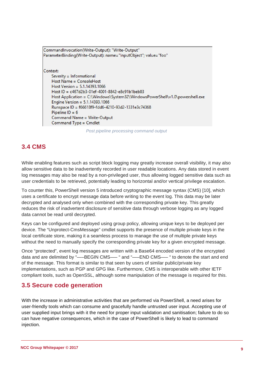```
CommandInvocation(Write-Output): "Write-Output"
ParameterBinding(Write-Output): name="InputObject"; value="foo"
Context:
   Severity = Informational
    Host Name = ConsoleHost
    Host Version = 5.1.14393.1066
    Host ID = c467d2b3-01ef-4001-8842-e8c91b1beb83
    Host Application = C:\Windows\System32\WindowsPowerShell\v1.0\powershell.exe
    Engine Version = 5.1.14393.1066Runspace ID = f66618f9-fdd6-4210-93d2-1331e3c74368
    Pipeline ID = 6Command Name = Write-Output
    Command Type = Cmdlet
```
*Post pipeline processing command output*

## **3.4 CMS**

While enabling features such as script block logging may greatly increase overall visibility, it may also allow sensitive data to be inadvertently recorded in user readable locations. Any data stored in event log messages may also be read by a non-privileged user, thus allowing logged sensitive data such as user credentials to be retrieved, potentially leading to horizontal and/or vertical privilege escalation.

To counter this, PowerShell version 5 introduced cryptographic message syntax (CMS) [10], which uses a certificate to encrypt message data before writing to the event log. This data may be later decrypted and analysed only when combined with the corresponding private key. This greatly reduces the risk of inadvertent disclosure of sensitive data through verbose logging as any logged data cannot be read until decrypted.

Keys can be configured and deployed using group policy, allowing unique keys to be deployed per device. The "Unprotect-CmsMessage" cmdlet supports the presence of multiple private keys in the local certificate store, making it a seamless process to manage the use of multiple private keys without the need to manually specify the corresponding private key for a given encrypted message.

Once "protected", event log messages are written with a Base64 encoded version of the encrypted data and are delimited by "—–BEGIN CMS—– " and "—–END CMS—– " to denote the start and end of the message. This format is similar to that seen by users of similar public/private key implementations, such as PGP and GPG like. Furthermore, CMS is interoperable with other IETF compliant tools, such as OpenSSL, although some manipulation of the message is required for this.

### **3.5 Secure code generation**

With the increase in administrative activities that are performed via PowerShell, a need arises for user-friendly tools which can consume and gracefully handle untrusted user input. Accepting use of user supplied input brings with it the need for proper input validation and sanitisation; failure to do so can have negative consequences, which in the case of PowerShell is likely to lead to command injection.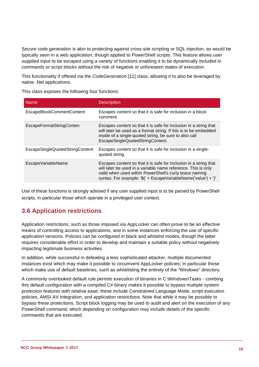Secure code generation is akin to protecting against cross-site scripting or SQL injection, as would be typically seen in a web application, though applied to PowerShell scripts. This feature allows user supplied input to be escaped using a variety of functions enabling it to be dynamically included in commands or script blocks without the risk of negative or unforeseen states of execution.

This functionality if offered via the *CodeGeneration* [11] class, allowing it to also be leveraged by native .Net applications.

This class exposes the following four functions:

| <b>Name</b>                     | <b>Description</b>                                                                                                                                                                                                                                             |
|---------------------------------|----------------------------------------------------------------------------------------------------------------------------------------------------------------------------------------------------------------------------------------------------------------|
| EscapeBlockCommentContent       | Escapes content so that it is safe for inclusion in a block<br>comment.                                                                                                                                                                                        |
| <b>EscapeFormatStringConten</b> | Escapes content so that it is safe for inclusion in a string that<br>will later be used as a format string. If this is to be embedded<br>inside of a single-quoted string, be sure to also call<br>EscapeSingleQuotedStringContent.                            |
| EscapeSingleQuotedStringContent | Escapes content so that it is safe for inclusion in a single-<br>quoted string.                                                                                                                                                                                |
| EscapeVariableName              | Escapes content so that it is safe for inclusion in a string that<br>will later be used in a variable name reference. This is only<br>valid when used within PowerShell's curly brace naming<br>syntax. For example: '\${' + EscapeVariableName('value') + '}' |

Use of these functions is strongly advised if any user supplied input is to be parsed by PowerShell scripts, in particular those which operate in a privileged user context.

## **3.6 Application restrictions**

Application restrictions, such as those imposed via AppLocker can often prove to be an effective means of controlling access to applications, and in some instances enforcing the use of specific application versions. Policies can be configured in black and whitelist modes, though the latter requires considerable effort in order to develop and maintain a suitable policy without negatively impacting legitimate business activities.

In addition, while successful in defeating a less sophisticated attacker, multiple documented instances exist which may make it possible to circumvent AppLocker policies; in particular those which make use of default baselines, such as whitelisting the entirety of the "Windows" directory.

A commonly overlooked default rule permits execution of binaries in C:\Windows\Tasks - combing this default configuration with a compiled C# binary makes it possible to bypass multiple system protection features with relative ease; these include Constrained Language Mode, script execution policies, AMSI AV integration, and application restrictions. Note that while it may be possible to bypass these protections, Script block logging may be used to audit and alert on the execution of any PowerShell command, which depending on configuration may include details of the specific commands that are executed.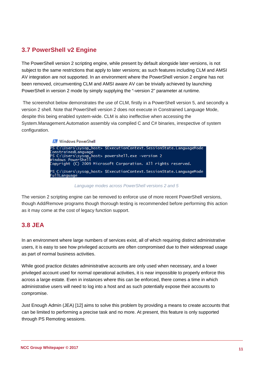## **3.7 PowerShell v2 Engine**

The PowerShell version 2 scripting engine, while present by default alongside later versions, is not subject to the same restrictions that apply to later versions; as such features including CLM and AMSI AV integration are not supported. In an environment where the PowerShell version 2 engine has not been removed, circumventing CLM and AMSI aware AV can be trivially achieved by launching PowerShell in version 2 mode by simply supplying the "-version 2" parameter at runtime.

The screenshot below demonstrates the use of CLM, firstly in a PowerShell version 5, and secondly a version 2 shell. Note that PowerShell version 2 does not execute in Constrained Language Mode, despite this being enabled system-wide. CLM is also ineffective when accessing the System.Management.Automation assembly via compiled C and C# binaries, irrespective of system configuration.

**X** Windows PowerShell



*Language modes across PowerShell versions 2 and 5*

The version 2 scripting engine can be removed to enforce use of more recent PowerShell versions, though Add/Remove programs though thorough testing is recommended before performing this action as it may come at the cost of legacy function support.

### **3.8 JEA**

In an environment where large numbers of services exist, all of which requiring distinct administrative users, it is easy to see how privileged accounts are often compromised due to their widespread usage as part of normal business activities.

While good practice dictates administrative accounts are only used when necessary, and a lower privileged account used for normal operational activities, it is near impossible to properly enforce this across a large estate. Even in instances where this can be enforced, there comes a time in which administrative users will need to log into a host and as such potentially expose their accounts to compromise.

Just Enough Admin (JEA) [12] aims to solve this problem by providing a means to create accounts that can be limited to performing a precise task and no more. At present, this feature is only supported through PS Remoting sessions.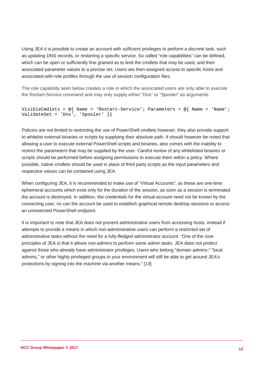Using JEA it is possible to create an account with sufficient privileges to perform a discrete task, such as updating DNS records, or restarting a specific service. So called "role capabilities" can be defined, which can be open or sufficiently fine grained as to limit the cmdlets that may be used, and their associated parameter values to a precise set. Users are then assigned access to specific hosts and associated with role profiles through the use of session configuration files.

The role capability seen below creates a role in which the associated users are only able to execute the Restart-Service command and may only supply either "Dns" or "Spooler" as arguments:

```
VisibleCmdlets = @{ Name = 'Restart-Service'; Parameters = @{ Name = 'Name';
ValidateSet = 'Dns', 'Spooler' }}
```
Policies are not limited to restricting the use of PowerShell cmdlets however, they also provide support to whitelist external binaries or scripts by supplying their absolute path. It should however be noted that allowing a user to execute external PowerShell scripts and binaries, also comes with the inability to restrict the parameters that may be supplied by the user. Careful review of any whitelisted binaries or scripts should be performed before assigning permissions to execute them within a policy. Where possible, native cmdlets should be used in place of third party scripts as the input parameters and respective values can be contained using JEA.

When configuring JEA, it is recommended to make use of "Virtual Accounts", as these are one-time ephemeral accounts which exist only for the duration of the session, as soon as a session is terminated the account is destroyed. In addition, the credentials for the virtual account need not be known by the connecting user, no can the account be used to establish graphical remote desktop sessions or access an unrestricted PowerShell endpoint.

It is important to note that JEA does not prevent administrative users from accessing hosts, instead if attempts to provide a means in which non-administrative users can perform a restricted set of administrative tasks without the need for a fully-fledged administrator account. "One of the core principles of JEA is that it allows non-admins to perform some admin tasks. JEA does not protect against those who already have administrator privileges. Users who belong "domain admins," "local admins," or other highly privileged groups in your environment will still be able to get around JEA's protections by signing into the machine via another means." [13]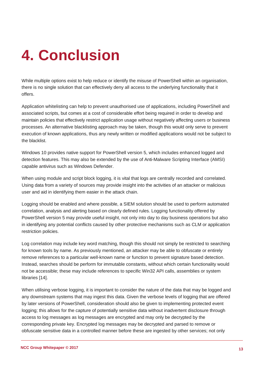# **4. Conclusion**

While multiple options exist to help reduce or identify the misuse of PowerShell within an organisation, there is no single solution that can effectively deny all access to the underlying functionality that it offers.

Application whitelisting can help to prevent unauthorised use of applications, including PowerShell and associated scripts, but comes at a cost of considerable effort being required in order to develop and maintain policies that effectively restrict application usage without negatively affecting users or business processes. An alternative blacklisting approach may be taken, though this would only serve to prevent execution of known applications, thus any newly written or modified applications would not be subject to the blacklist.

Windows 10 provides native support for PowerShell version 5, which includes enhanced logged and detection features. This may also be extended by the use of Anti-Malware Scripting Interface (AMSI) capable antivirus such as Windows Defender.

When using module and script block logging, it is vital that logs are centrally recorded and correlated. Using data from a variety of sources may provide insight into the activities of an attacker or malicious user and aid in identifying them easier in the attack chain.

Logging should be enabled and where possible, a SIEM solution should be used to perform automated correlation, analysis and alerting based on clearly defined rules. Logging functionality offered by PowerShell version 5 may provide useful insight, not only into day to day business operations but also in identifying any potential conflicts caused by other protective mechanisms such as CLM or application restriction policies.

Log correlation may include key word matching, though this should not simply be restricted to searching for known tools by name. As previously mentioned, an attacker may be able to obfuscate or entirely remove references to a particular well-known name or function to prevent signature based detection. Instead, searches should be perform for immutable constants, without which certain functionality would not be accessible; these may include references to specific Win32 API calls, assemblies or system libraries [14].

When utilising verbose logging, it is important to consider the nature of the data that may be logged and any downstream systems that may ingest this data. Given the verbose levels of logging that are offered by later versions of PowerShell, consideration should also be given to implementing protected event logging; this allows for the capture of potentially sensitive data without inadvertent disclosure through access to log messages as log messages are encrypted and may only be decrypted by the corresponding private key. Encrypted log messages may be decrypted and parsed to remove or obfuscate sensitive data in a controlled manner before these are ingested by other services; not only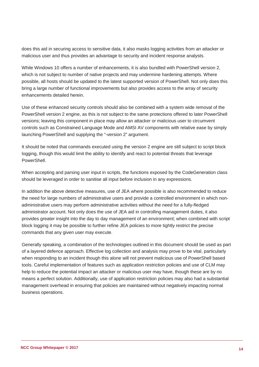does this aid in securing access to sensitive data, it also masks logging activities from an attacker or malicious user and thus provides an advantage to security and incident response analysts.

While Windows 10 offers a number of enhancements, it is also bundled with PowerShell version 2, which is not subject to number of native projects and may undermine hardening attempts. Where possible, all hosts should be updated to the latest supported version of PowerShell. Not only does this bring a large number of functional improvements but also provides access to the array of security enhancements detailed herein.

Use of these enhanced security controls should also be combined with a system wide removal of the PowerShell version 2 engine, as this is not subject to the same protections offered to later PowerShell versions; leaving this component in place may allow an attacker or malicious user to circumvent controls such as Constrained Language Mode and AMSI AV components with relative ease by simply launching PowerShell and supplying the "-version 2" argument.

It should be noted that commands executed using the version 2 engine are still subject to script block logging, though this would limit the ability to identify and react to potential threats that leverage PowerShell.

When accepting and parsing user input in scripts, the functions exposed by the CodeGeneration class should be leveraged in order to sanitise all input before inclusion in any expressions.

In addition the above detective measures, use of JEA where possible is also recommended to reduce the need for large numbers of administrative users and provide a controlled environment in which nonadministrative users may perform administrative activities without the need for a fully-fledged administrator account. Not only does the use of JEA aid in controlling management duties, it also provides greater insight into the day to day management of an environment; when combined with script block logging it may be possible to further refine JEA policies to more tightly restrict the precise commands that any given user may execute.

Generally speaking, a combination of the technologies outlined in this document should be used as part of a layered defence approach. Effective log collection and analysis may prove to be vital, particularly when responding to an incident though this alone will not prevent malicious use of PowerShell based tools. Careful implementation of features such as application restriction policies and use of CLM may help to reduce the potential impact an attacker or malicious user may have, though these are by no means a perfect solution. Additionally, use of application restriction policies may also had a substantial management overhead in ensuring that policies are maintained without negatively impacting normal business operations.